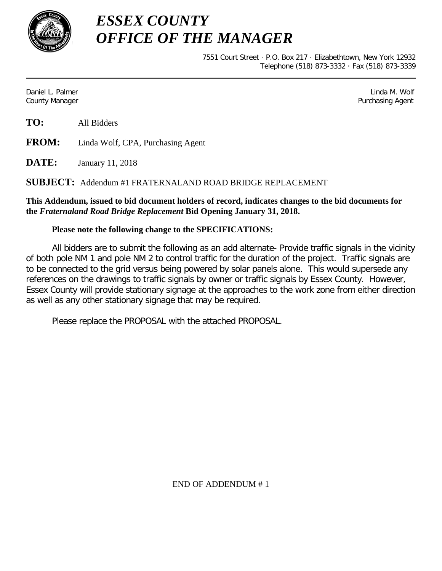

*ESSEX COUNTY OFFICE OF THE MANAGER*

> 7551 Court Street · P.O. Box 217 · Elizabethtown, New York 12932 Telephone (518) 873-3332 · Fax (518) 873-3339

Daniel L. Palmer Linda M. Wolf County Manager Purchasing Agent

**TO:** All Bidders

**FROM:** Linda Wolf, CPA, Purchasing Agent

**DATE:** January 11, 2018

# **SUBJECT:** Addendum #1 FRATERNALAND ROAD BRIDGE REPLACEMENT

### **This Addendum, issued to bid document holders of record, indicates changes to the bid documents for the** *Fraternaland Road Bridge Replacement* **Bid Opening January 31, 2018.**

# **Please note the following change to the SPECIFICATIONS:**

All bidders are to submit the following as an add alternate- Provide traffic signals in the vicinity of both pole NM 1 and pole NM 2 to control traffic for the duration of the project. Traffic signals are to be connected to the grid versus being powered by solar panels alone. This would supersede any references on the drawings to traffic signals by owner or traffic signals by Essex County. However, Essex County will provide stationary signage at the approaches to the work zone from either direction as well as any other stationary signage that may be required.

Please replace the PROPOSAL with the attached PROPOSAL.

END OF ADDENDUM # 1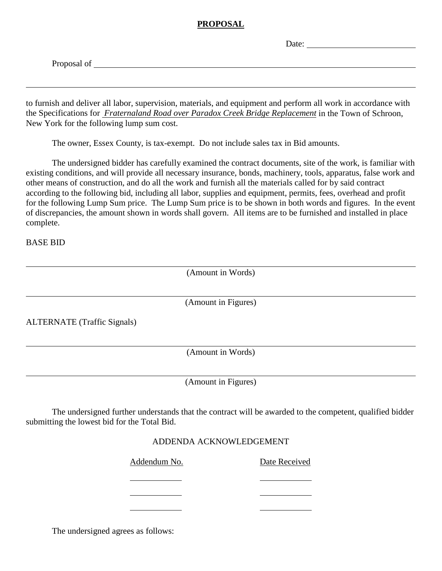### **PROPOSAL**

Date:

Proposal of

to furnish and deliver all labor, supervision, materials, and equipment and perform all work in accordance with the Specifications for *Fraternaland Road over Paradox Creek Bridge Replacement* in the Town of Schroon, New York for the following lump sum cost.

The owner, Essex County, is tax-exempt. Do not include sales tax in Bid amounts.

The undersigned bidder has carefully examined the contract documents, site of the work, is familiar with existing conditions, and will provide all necessary insurance, bonds, machinery, tools, apparatus, false work and other means of construction, and do all the work and furnish all the materials called for by said contract according to the following bid, including all labor, supplies and equipment, permits, fees, overhead and profit for the following Lump Sum price. The Lump Sum price is to be shown in both words and figures. In the event of discrepancies, the amount shown in words shall govern. All items are to be furnished and installed in place complete.

BASE BID

(Amount in Words)

(Amount in Figures)

ALTERNATE (Traffic Signals)

(Amount in Words)

(Amount in Figures)

The undersigned further understands that the contract will be awarded to the competent, qualified bidder submitting the lowest bid for the Total Bid.

#### ADDENDA ACKNOWLEDGEMENT

Addendum No. Date Received

The undersigned agrees as follows: